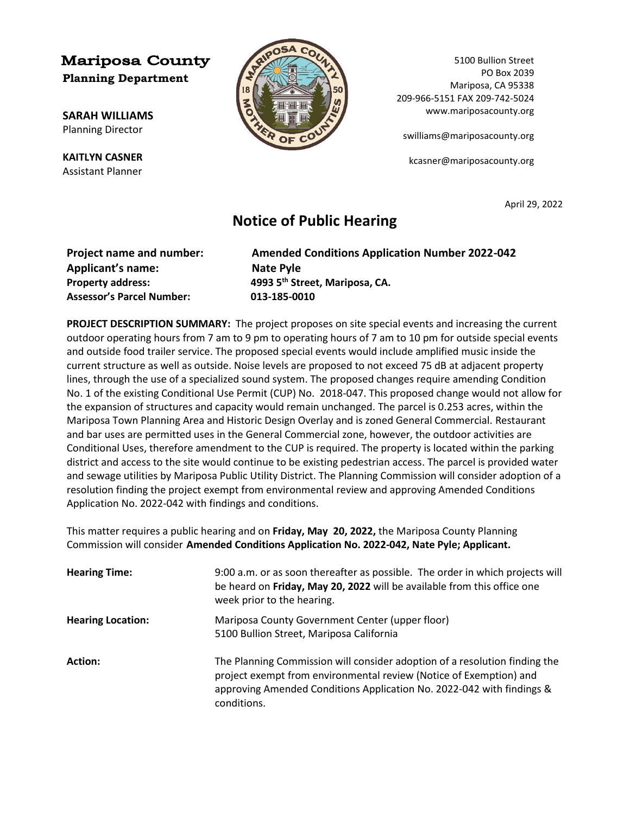## **Mariposa County Planning Department**

**SARAH WILLIAMS** Planning Director

**KAITLYN CASNER** Assistant Planner



5100 Bullion Street PO Box 2039 Mariposa, CA 95338 209-966-5151 FAX 209-742-5024 www.mariposacounty.org

[swilliams@mariposacounty.org](mailto:swilliams@mariposacounty.org)

kcasner@mariposacounty.org

April 29, 2022

## **Notice of Public Hearing**

| <b>Amended Conditions Application Number 2022-042</b> |
|-------------------------------------------------------|
| Nate Pyle                                             |
| 4993 5 <sup>th</sup> Street, Mariposa, CA.            |
| 013-185-0010                                          |
|                                                       |

**PROJECT DESCRIPTION SUMMARY:** The project proposes on site special events and increasing the current outdoor operating hours from 7 am to 9 pm to operating hours of 7 am to 10 pm for outside special events and outside food trailer service. The proposed special events would include amplified music inside the current structure as well as outside. Noise levels are proposed to not exceed 75 dB at adjacent property lines, through the use of a specialized sound system. The proposed changes require amending Condition No. 1 of the existing Conditional Use Permit (CUP) No. 2018-047. This proposed change would not allow for the expansion of structures and capacity would remain unchanged. The parcel is 0.253 acres, within the Mariposa Town Planning Area and Historic Design Overlay and is zoned General Commercial. Restaurant and bar uses are permitted uses in the General Commercial zone, however, the outdoor activities are Conditional Uses, therefore amendment to the CUP is required. The property is located within the parking district and access to the site would continue to be existing pedestrian access. The parcel is provided water and sewage utilities by Mariposa Public Utility District. The Planning Commission will consider adoption of a resolution finding the project exempt from environmental review and approving Amended Conditions Application No. 2022-042 with findings and conditions.

This matter requires a public hearing and on **Friday, May 20, 2022,** the Mariposa County Planning Commission will consider **Amended Conditions Application No. 2022-042, Nate Pyle; Applicant.**

| <b>Hearing Time:</b>     | 9:00 a.m. or as soon thereafter as possible. The order in which projects will<br>be heard on Friday, May 20, 2022 will be available from this office one<br>week prior to the hearing.                                                   |
|--------------------------|------------------------------------------------------------------------------------------------------------------------------------------------------------------------------------------------------------------------------------------|
| <b>Hearing Location:</b> | Mariposa County Government Center (upper floor)<br>5100 Bullion Street, Mariposa California                                                                                                                                              |
| Action:                  | The Planning Commission will consider adoption of a resolution finding the<br>project exempt from environmental review (Notice of Exemption) and<br>approving Amended Conditions Application No. 2022-042 with findings &<br>conditions. |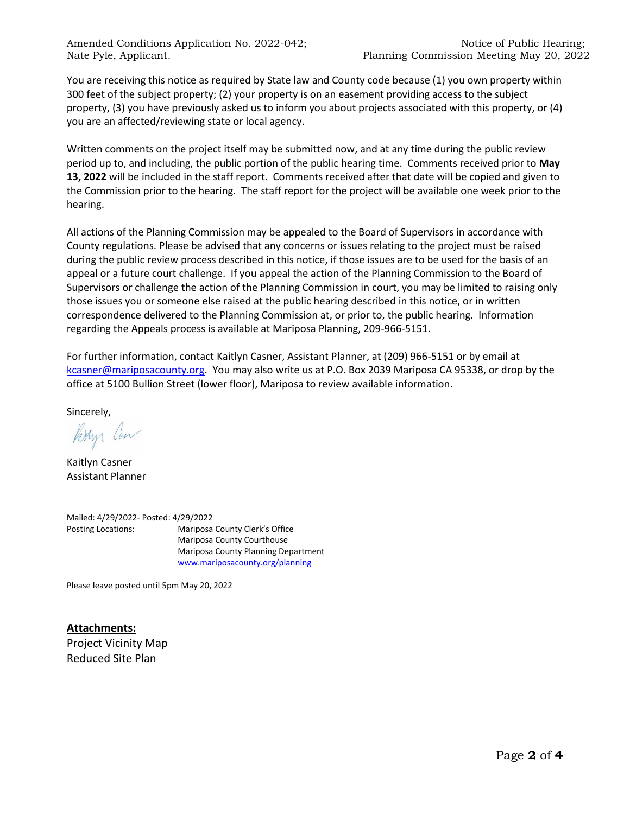Amended Conditions Application No. 2022-042; Notice of Public Hearing; Nate Pyle, Applicant. The Person of Planning Commission Meeting May 20, 2022

You are receiving this notice as required by State law and County code because (1) you own property within 300 feet of the subject property; (2) your property is on an easement providing access to the subject property, (3) you have previously asked us to inform you about projects associated with this property, or (4) you are an affected/reviewing state or local agency.

Written comments on the project itself may be submitted now, and at any time during the public review period up to, and including, the public portion of the public hearing time. Comments received prior to **May 13, 2022** will be included in the staff report. Comments received after that date will be copied and given to the Commission prior to the hearing. The staff report for the project will be available one week prior to the hearing.

All actions of the Planning Commission may be appealed to the Board of Supervisors in accordance with County regulations. Please be advised that any concerns or issues relating to the project must be raised during the public review process described in this notice, if those issues are to be used for the basis of an appeal or a future court challenge. If you appeal the action of the Planning Commission to the Board of Supervisors or challenge the action of the Planning Commission in court, you may be limited to raising only those issues you or someone else raised at the public hearing described in this notice, or in written correspondence delivered to the Planning Commission at, or prior to, the public hearing. Information regarding the Appeals process is available at Mariposa Planning, 209-966-5151.

For further information, contact Kaitlyn Casner, Assistant Planner, at (209) 966-5151 or by email at [kcasner@mariposacounty.org.](mailto:kcasner@mariposacounty.org) You may also write us at P.O. Box 2039 Mariposa CA 95338, or drop by the office at 5100 Bullion Street (lower floor), Mariposa to review available information.

Sincerely,

Partyr Can

Kaitlyn Casner Assistant Planner

Mailed: 4/29/2022- Posted: 4/29/2022 Posting Locations: Mariposa County Clerk's Office Mariposa County Courthouse Mariposa County Planning Department [www.mariposacounty.org/planning](http://www.mariposacounty.org/planning)

Please leave posted until 5pm May 20, 2022

**Attachments:** Project Vicinity Map Reduced Site Plan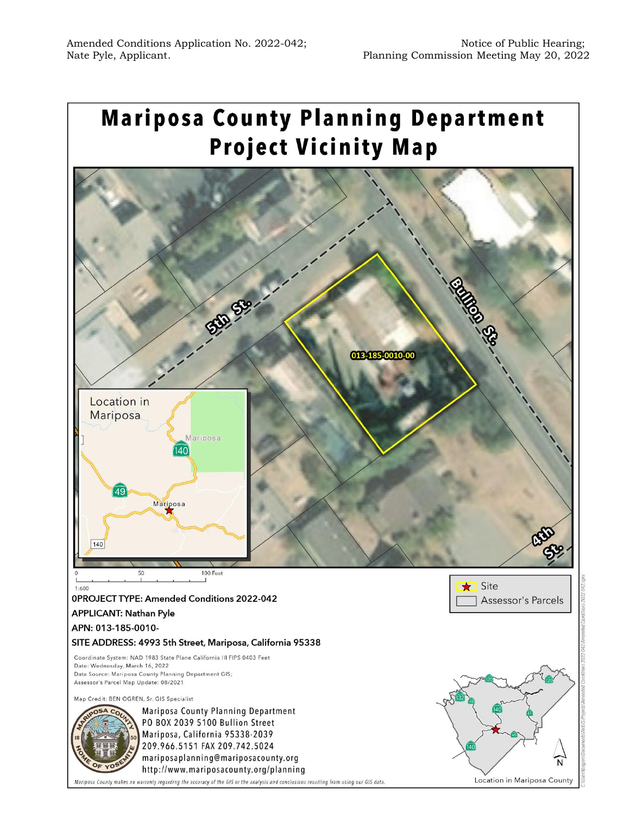## **Mariposa County Planning Department Project Vicinity Map**